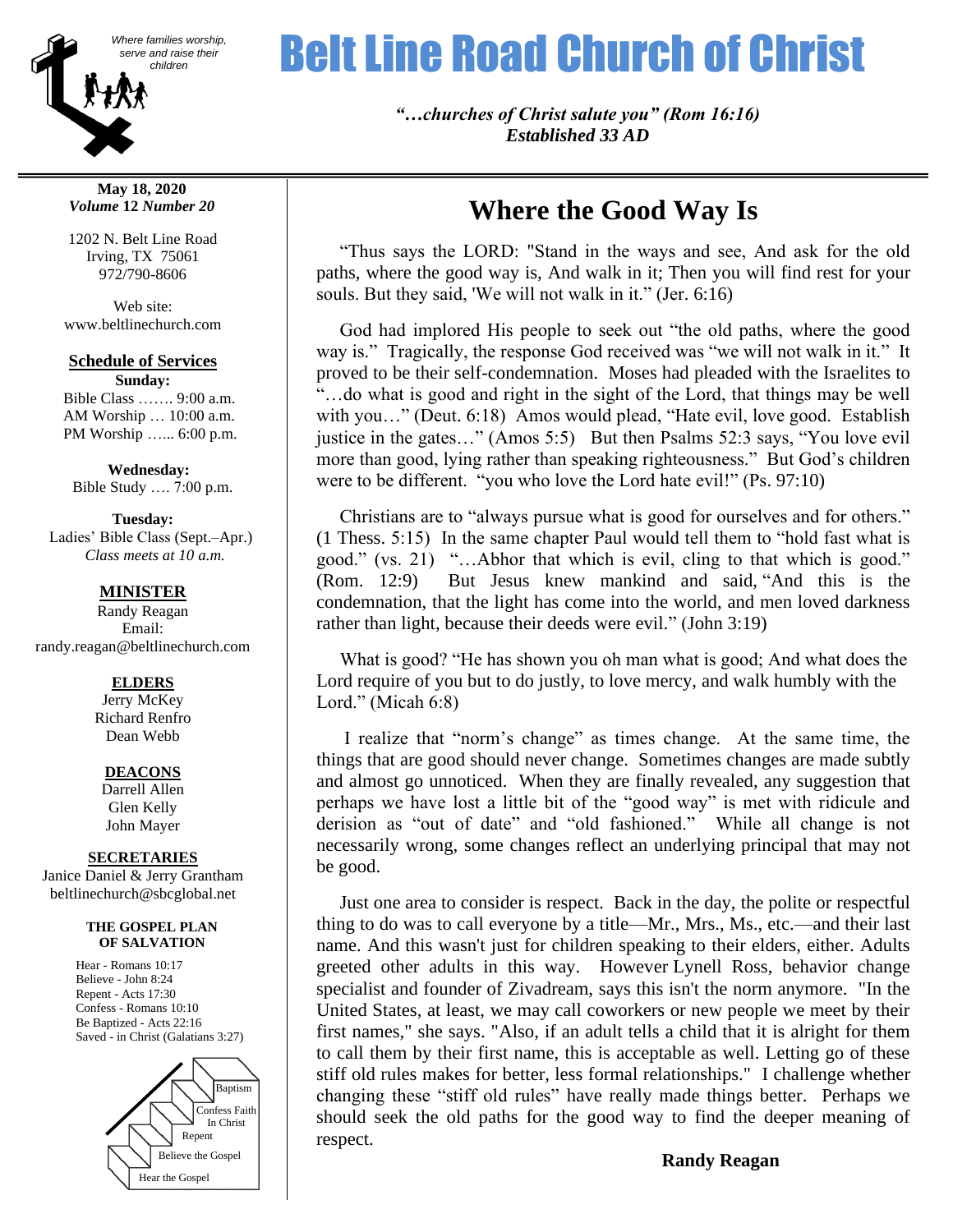

**May 18, 2020** *Volume* **12** *Number 20*

1202 N. Belt Line Road Irving, TX 75061 972/790-8606

Web site: www.beltlinechurch.com

**Schedule of Services Sunday:**

 Bible Class ……. 9:00 a.m. AM Worship … 10:00 a.m. PM Worship …... 6:00 p.m.

 **Wednesday:** Bible Study …. 7:00 p.m.

**Tuesday:**

 Ladies' Bible Class (Sept.–Apr.)  *Class meets at 10 a.m.*

## **MINISTER**

Randy Reagan Email: randy.reagan@beltlinechurch.com

#### **ELDERS**

Jerry McKey Richard Renfro Dean Webb

#### **DEACONS**

Darrell Allen Glen Kelly John Mayer

#### **SECRETARIES**

Janice Daniel & Jerry Grantham beltlinechurch@sbcglobal.net

#### **THE GOSPEL PLAN OF SALVATION**

Hear - Romans 10:17 Believe - John 8:24 Repent - Acts 17:30 Confess - Romans 10:10 Be Baptized - Acts 22:16 Saved - in Christ (Galatians 3:27)



# Where families worship, **Belt Line Road Church of Christ**

*"…churches of Christ salute you" (Rom 16:16) Established 33 AD*

# **Where the Good Way Is**

 "Thus says the LORD: "Stand in the ways and see, And ask for the old paths, where the good way is, And walk in it; Then you will find rest for your souls. But they said, 'We will not walk in it." (Jer. 6:16)

 God had implored His people to seek out "the old paths, where the good way is." Tragically, the response God received was "we will not walk in it." It proved to be their self-condemnation. Moses had pleaded with the Israelites to "…do what is good and right in the sight of the Lord, that things may be well with you..." (Deut. 6:18) Amos would plead, "Hate evil, love good. Establish justice in the gates…" (Amos 5:5) But then Psalms 52:3 says, "You love evil more than good, lying rather than speaking righteousness." But God's children were to be different. "you who love the Lord hate evil!" (Ps. 97:10)

 Christians are to "always pursue what is good for ourselves and for others." (1 Thess. 5:15) In the same chapter Paul would tell them to "hold fast what is good." (vs. 21) "…Abhor that which is evil, cling to that which is good." (Rom. 12:9) But Jesus knew mankind and said, "And this is the condemnation, that the light has come into the world, and men loved darkness rather than light, because their deeds were evil." (John 3:19)

 What is good? "He has shown you oh man what is good; And what does the Lord require of you but to do justly, to love mercy, and walk humbly with the Lord." (Micah 6:8)

 I realize that "norm's change" as times change. At the same time, the things that are good should never change. Sometimes changes are made subtly and almost go unnoticed. When they are finally revealed, any suggestion that perhaps we have lost a little bit of the "good way" is met with ridicule and derision as "out of date" and "old fashioned." While all change is not necessarily wrong, some changes reflect an underlying principal that may not be good.

 Just one area to consider is respect. Back in the day, the polite or respectful thing to do was to call everyone by a title—Mr., Mrs., Ms., etc.—and their last name. And this wasn't just for children speaking to their elders, either. Adults greeted other adults in this way. However Lynell Ross, behavior change specialist and founder of Zivadream, says this isn't the norm anymore. "In the United States, at least, we may call coworkers or new people we meet by their first names," she says. "Also, if an adult tells a child that it is alright for them to call them by their first name, this is acceptable as well. Letting go of these stiff old rules makes for better, less formal relationships." I challenge whether changing these "stiff old rules" have really made things better. Perhaps we should seek the old paths for the good way to find the deeper meaning of respect.

**Randy Reagan**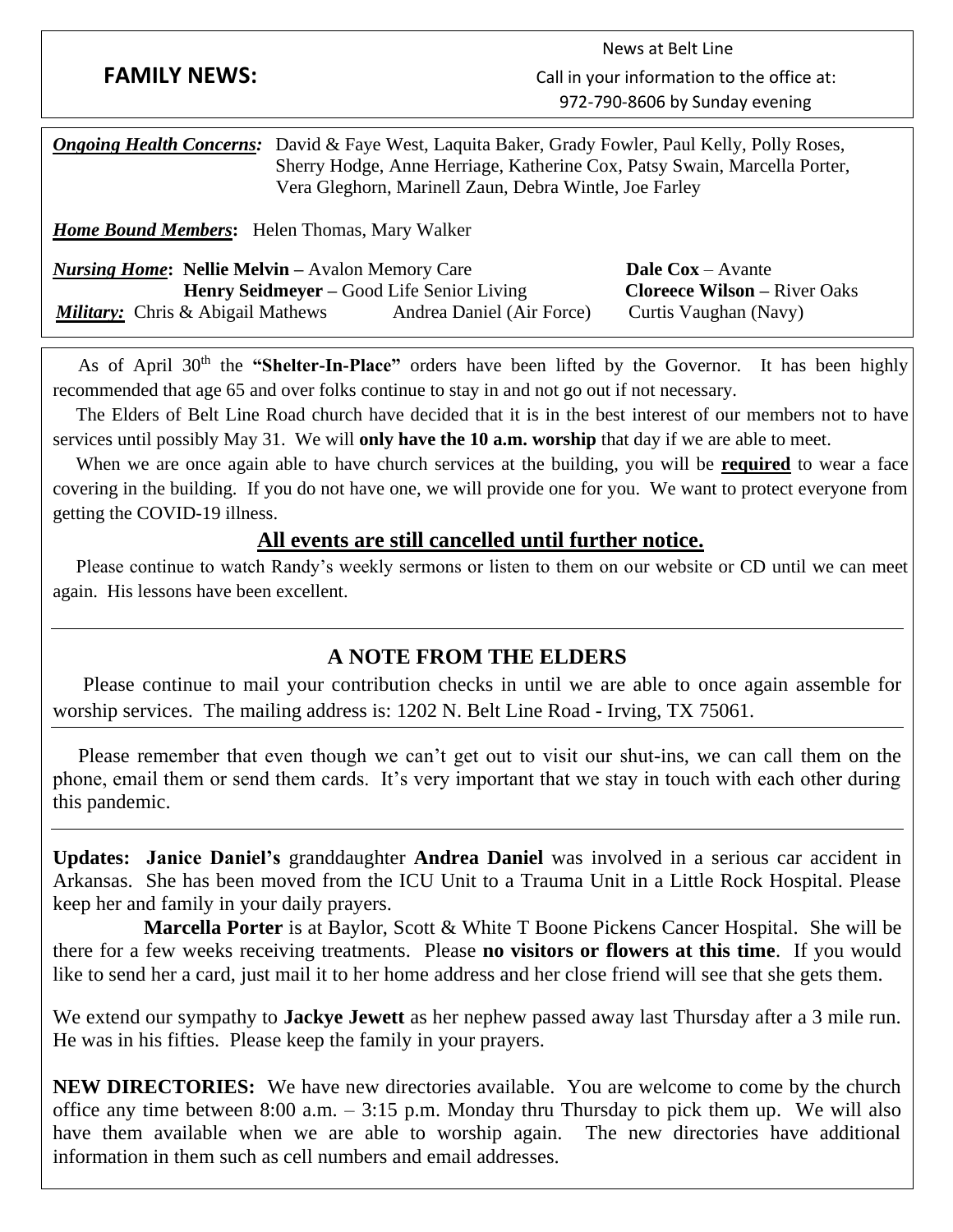|                                                                                                                                                                                                                                                 |                                                                        | News at Belt Line                                                                        |
|-------------------------------------------------------------------------------------------------------------------------------------------------------------------------------------------------------------------------------------------------|------------------------------------------------------------------------|------------------------------------------------------------------------------------------|
| <b>FAMILY NEWS:</b>                                                                                                                                                                                                                             |                                                                        | Call in your information to the office at:                                               |
|                                                                                                                                                                                                                                                 |                                                                        | 972-790-8606 by Sunday evening                                                           |
| <b>Ongoing Health Concerns:</b> David & Faye West, Laquita Baker, Grady Fowler, Paul Kelly, Polly Roses,<br>Sherry Hodge, Anne Herriage, Katherine Cox, Patsy Swain, Marcella Porter,<br>Vera Gleghorn, Marinell Zaun, Debra Wintle, Joe Farley |                                                                        |                                                                                          |
| <b>Home Bound Members:</b> Helen Thomas, Mary Walker                                                                                                                                                                                            |                                                                        |                                                                                          |
| <b>Nursing Home: Nellie Melvin</b> – Avalon Memory Care<br><i>Military:</i> Chris & Abigail Mathews                                                                                                                                             | Henry Seidmeyer – Good Life Senior Living<br>Andrea Daniel (Air Force) | <b>Dale Cox</b> – Avante<br><b>Cloreece Wilson – River Oaks</b><br>Curtis Vaughan (Navy) |

As of April 30<sup>th</sup> the "Shelter-In-Place" orders have been lifted by the Governor. It has been highly recommended that age 65 and over folks continue to stay in and not go out if not necessary.

 The Elders of Belt Line Road church have decided that it is in the best interest of our members not to have services until possibly May 31. We will **only have the 10 a.m. worship** that day if we are able to meet.

 When we are once again able to have church services at the building, you will be **required** to wear a face covering in the building. If you do not have one, we will provide one for you. We want to protect everyone from getting the COVID-19 illness.

# **All events are still cancelled until further notice.**

 Please continue to watch Randy's weekly sermons or listen to them on our website or CD until we can meet again. His lessons have been excellent.

# **A NOTE FROM THE ELDERS**

 Please continue to mail your contribution checks in until we are able to once again assemble for worship services. The mailing address is: 1202 N. Belt Line Road - Irving, TX 75061.

 Please remember that even though we can't get out to visit our shut-ins, we can call them on the phone, email them or send them cards. It's very important that we stay in touch with each other during this pandemic.

**Updates: Janice Daniel's** granddaughter **Andrea Daniel** was involved in a serious car accident in Arkansas. She has been moved from the ICU Unit to a Trauma Unit in a Little Rock Hospital. Please keep her and family in your daily prayers.

 **Marcella Porter** is at Baylor, Scott & White T Boone Pickens Cancer Hospital. She will be there for a few weeks receiving treatments. Please **no visitors or flowers at this time**. If you would like to send her a card, just mail it to her home address and her close friend will see that she gets them.

We extend our sympathy to **Jackye Jewett** as her nephew passed away last Thursday after a 3 mile run. He was in his fifties. Please keep the family in your prayers.

**NEW DIRECTORIES:** We have new directories available. You are welcome to come by the church office any time between 8:00 a.m.  $-3:15$  p.m. Monday thru Thursday to pick them up. We will also have them available when we are able to worship again. The new directories have additional information in them such as cell numbers and email addresses.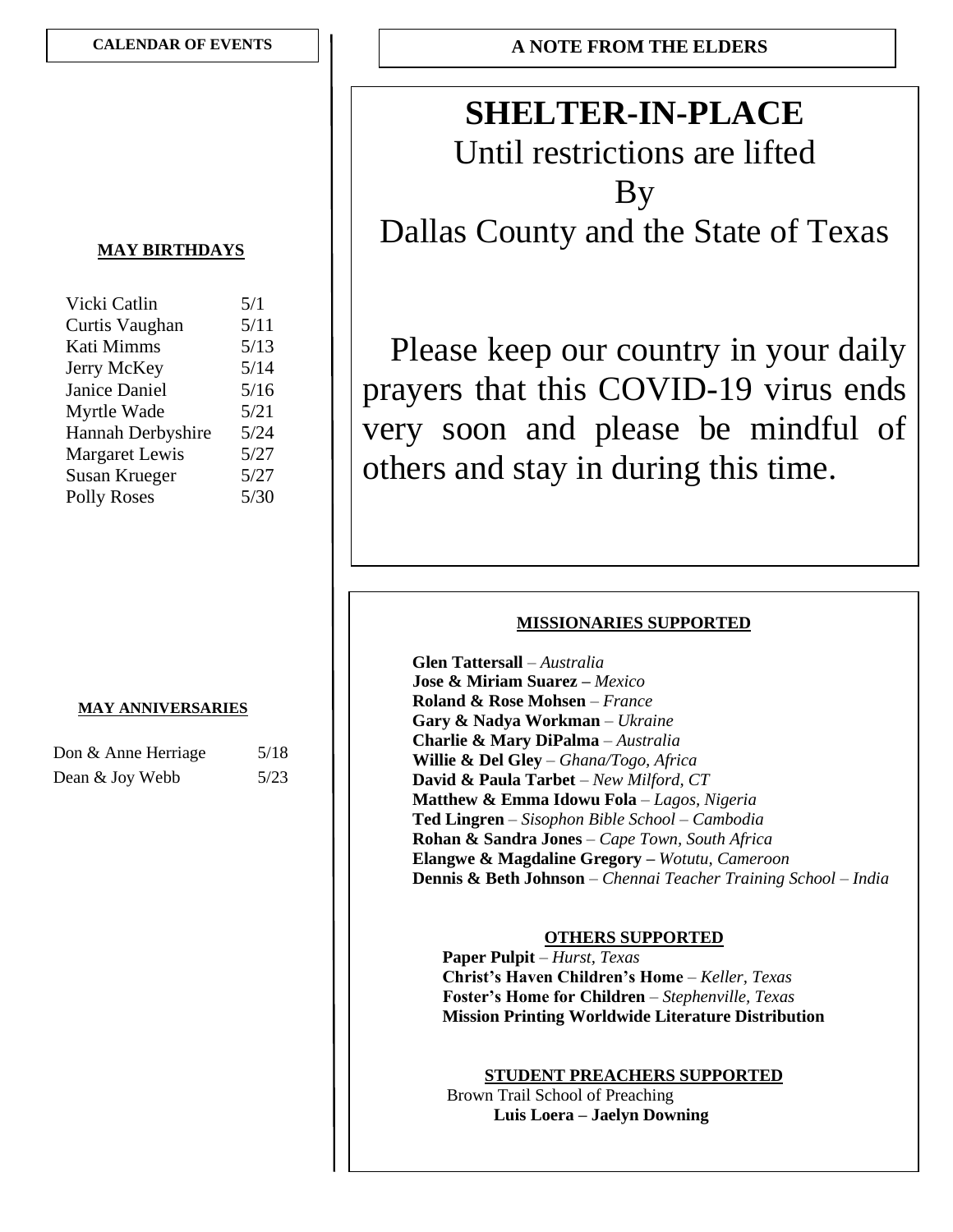# **SHELTER-IN-PLACE**

Until restrictions are lifted By Dallas County and the State of Texas

Please keep our country in your daily prayers that this COVID-19 virus ends very soon and please be mindful of others and stay in during this time.

## **MISSIONARIES SUPPORTED**

 **Glen Tattersall** – *Australia* **Jose & Miriam Suarez –** *Mexico*  **Roland & Rose Mohsen** – *France* **Gary & Nadya Workman** – *Ukraine* **Charlie & Mary DiPalma** – *Australia* **Willie & Del Gley** – *Ghana/Togo, Africa* **David & Paula Tarbet** – *New Milford, CT*  **Matthew & Emma Idowu Fola** – *Lagos, Nigeria* **Ted Lingren** – *Sisophon Bible School* – *Cambodia* **Rohan & Sandra Jones** – *Cape Town, South Africa* **Elangwe & Magdaline Gregory –** *Wotutu, Cameroon* **Dennis & Beth Johnson** – *Chennai Teacher Training School – India*

# **OTHERS SUPPORTED**

 **Paper Pulpit** – *Hurst, Texas* **Christ's Haven Children's Home** – *Keller, Texas* **Foster's Home for Children** – *Stephenville, Texas* **Mission Printing Worldwide Literature Distribution**

#### **STUDENT PREACHERS SUPPORTED**

 Brown Trail School of Preaching **Luis Loera – Jaelyn Downing**

### **MAY BIRTHDAYS**

| Vicki Catlin          | 5/1  |
|-----------------------|------|
| Curtis Vaughan        | 5/11 |
| Kati Mimms            | 5/13 |
| Jerry McKey           | 5/14 |
| <b>Janice Daniel</b>  | 5/16 |
| Myrtle Wade           | 5/21 |
| Hannah Derbyshire     | 5/24 |
| <b>Margaret Lewis</b> | 5/27 |
| <b>Susan Krueger</b>  | 5/27 |
| <b>Polly Roses</b>    | 5/30 |
|                       |      |

#### **MAY ANNIVERSARIES**

| Don & Anne Herriage | 5/18 |
|---------------------|------|
| Dean & Joy Webb     | 5/23 |